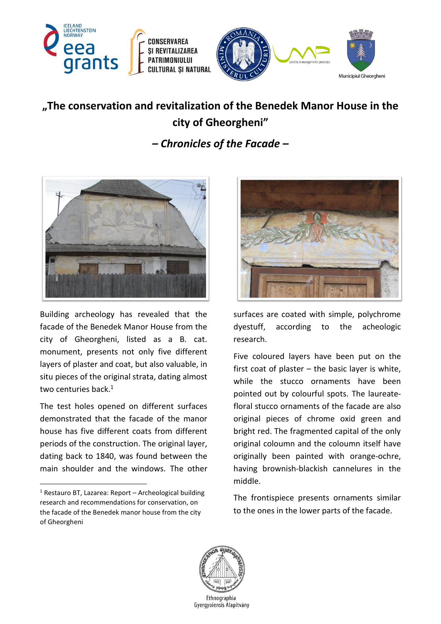

## **"The conservation and revitalization of the Benedek Manor House in the city of Gheorgheni"**

*– Chronicles of the Facade –*



Building archeology has revealed that the facade of the Benedek Manor House from the city of Gheorgheni, listed as a B. cat. monument, presents not only five different layers of plaster and coat, but also valuable, in situ pieces of the original strata, dating almost two centuries back. 1

The test holes opened on different surfaces demonstrated that the facade of the manor house has five different coats from different periods of the construction. The original layer, dating back to 1840, was found between the main shoulder and the windows. The other

1



surfaces are coated with simple, polychrome dyestuff, according to the acheologic research.

Five coloured layers have been put on the first coat of plaster  $-$  the basic layer is white, while the stucco ornaments have been pointed out by colourful spots. The laureatefloral stucco ornaments of the facade are also original pieces of chrome oxid green and bright red. The fragmented capital of the only original coloumn and the coloumn itself have originally been painted with orange-ochre, having brownish-blackish cannelures in the middle.

The frontispiece presents ornaments similar to the ones in the lower parts of the facade.



 $1$  Restauro BT, Lazarea: Report – Archeological building research and recommendations for conservation, on the facade of the Benedek manor house from the city of Gheorgheni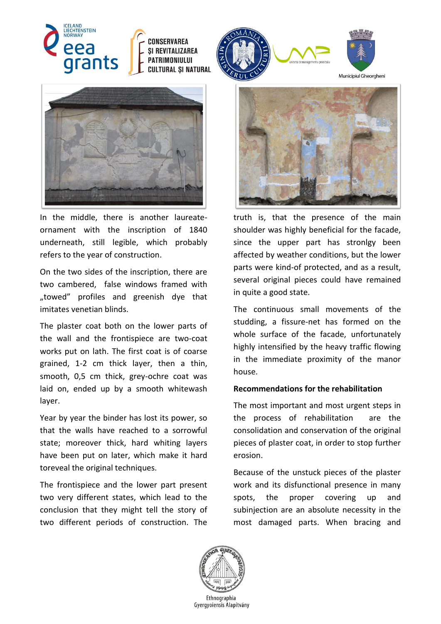

## CONSERVAREA **SI REVITALIZAREA** PATRIMONIULUI **CULTURAL SI NATURAL**



In the middle, there is another laureateornament with the inscription of 1840 underneath, still legible, which probably refers to the year of construction.

On the two sides of the inscription, there are two cambered, false windows framed with "towed" profiles and greenish dye that imitates venetian blinds.

The plaster coat both on the lower parts of the wall and the frontispiece are two-coat works put on lath. The first coat is of coarse grained, 1-2 cm thick layer, then a thin, smooth, 0,5 cm thick, grey-ochre coat was laid on, ended up by a smooth whitewash layer.

Year by year the binder has lost its power, so that the walls have reached to a sorrowful state; moreover thick, hard whiting layers have been put on later, which make it hard toreveal the original techniques.

The frontispiece and the lower part present two very different states, which lead to the conclusion that they might tell the story of two different periods of construction. The





Municipiul Gheorgheni



truth is, that the presence of the main shoulder was highly beneficial for the facade, since the upper part has stronlgy been affected by weather conditions, but the lower parts were kind-of protected, and as a result, several original pieces could have remained in quite a good state.

The continuous small movements of the studding, a fissure-net has formed on the whole surface of the facade, unfortunately highly intensified by the heavy traffic flowing in the immediate proximity of the manor house.

## **Recommendations for the rehabilitation**

The most important and most urgent steps in the process of rehabilitation are the consolidation and conservation of the original pieces of plaster coat, in order to stop further erosion.

Because of the unstuck pieces of the plaster work and its disfunctional presence in many spots, the proper covering up and subinjection are an absolute necessity in the most damaged parts. When bracing and